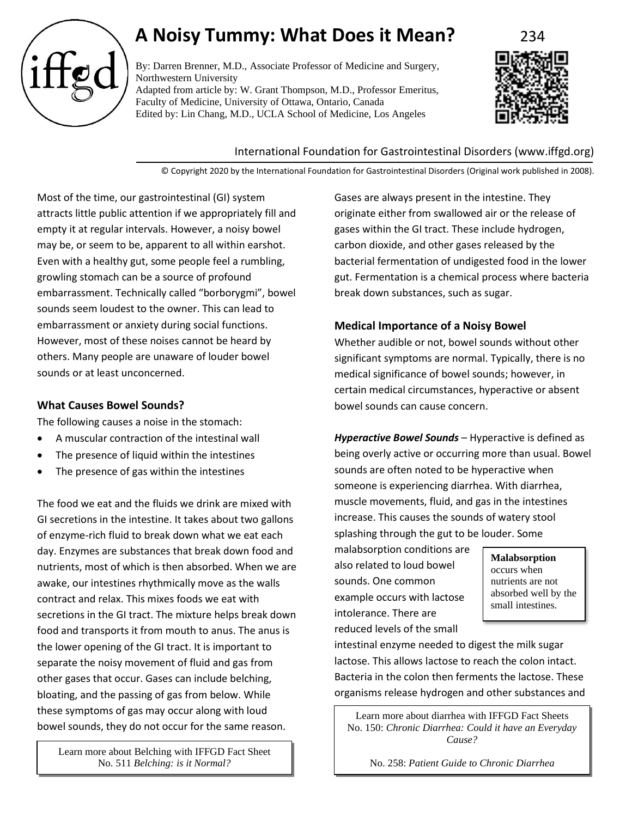

# **A Noisy Tummy: What Does it Mean?** 234

By: Darren Brenner, M.D., Associate Professor of Medicine and Surgery, Northwestern University Adapted from article by: W. Grant Thompson, M.D., Professor Emeritus, Faculty of Medicine, University of Ottawa, Ontario, Canada Edited by: Lin Chang, M.D., UCLA School of Medicine, Los Angeles



## International Foundation for Gastrointestinal Disorders (www.iffgd.org)

© Copyright 2020 by the International Foundation for Gastrointestinal Disorders (Original work published in 2008).

Most of the time, our gastrointestinal (GI) system attracts little public attention if we appropriately fill and empty it at regular intervals. However, a noisy bowel may be, or seem to be, apparent to all within earshot. Even with a healthy gut, some people feel a rumbling, growling stomach can be a source of profound embarrassment. Technically called "borborygmi", bowel sounds seem loudest to the owner. This can lead to embarrassment or anxiety during social functions. However, most of these noises cannot be heard by others. Many people are unaware of louder bowel sounds or at least unconcerned.

# **What Causes Bowel Sounds?**

The following causes a noise in the stomach:

- A muscular contraction of the intestinal wall
- The presence of liquid within the intestines
- The presence of gas within the intestines

The food we eat and the fluids we drink are mixed with GI secretions in the intestine. It takes about two gallons of enzyme-rich fluid to break down what we eat each day. Enzymes are substances that break down food and nutrients, most of which is then absorbed. When we are awake, our intestines rhythmically move as the walls contract and relax. This mixes foods we eat with secretions in the GI tract. The mixture helps break down food and transports it from mouth to anus. The anus is the lower opening of the GI tract. It is important to separate the noisy movement of fluid and gas from other gases that occur. Gases can include belching, bloating, and the passing of gas from below. While these symptoms of gas may occur along with loud bowel sounds, they do not occur for the same reason.

Learn more about Belching with IFFGD Fact Sheet No. 511 *Belching: is it Normal?*

Gases are always present in the intestine. They originate either from swallowed air or the release of gases within the GI tract. These include hydrogen, carbon dioxide, and other gases released by the bacterial fermentation of undigested food in the lower gut. Fermentation is a chemical process where bacteria break down substances, such as sugar.

## **Medical Importance of a Noisy Bowel**

Whether audible or not, bowel sounds without other significant symptoms are normal. Typically, there is no medical significance of bowel sounds; however, in certain medical circumstances, hyperactive or absent bowel sounds can cause concern.

*Hyperactive Bowel Sounds* – Hyperactive is defined as being overly active or occurring more than usual. Bowel sounds are often noted to be hyperactive when someone is experiencing diarrhea. With diarrhea, muscle movements, fluid, and gas in the intestines increase. This causes the sounds of watery stool splashing through the gut to be louder. Some

malabsorption conditions are also related to loud bowel sounds. One common example occurs with lactose intolerance. There are reduced levels of the small

**Malabsorption** occurs when nutrients are not absorbed well by the small intestines.

intestinal enzyme needed to digest the milk sugar lactose. This allows lactose to reach the colon intact. Bacteria in the colon then ferments the lactose. These organisms release hydrogen and other substances and

Learn more about diarrhea with IFFGD Fact Sheets No. 150: *Chronic Diarrhea: Could it have an Everyday Cause?*

No. 258: *Patient Guide to Chronic Diarrhea*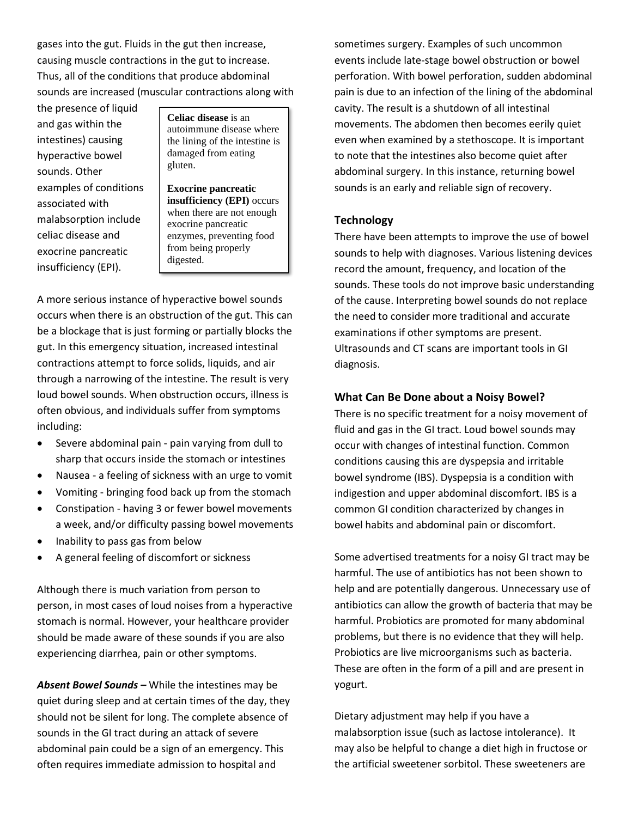gases into the gut. Fluids in the gut then increase, causing muscle contractions in the gut to increase. Thus, all of the conditions that produce abdominal sounds are increased (muscular contractions along with

the presence of liquid and gas within the intestines) causing hyperactive bowel sounds. Other examples of conditions associated with malabsorption include celiac disease and exocrine pancreatic insufficiency (EPI).

**Celiac disease** is an autoimmune disease where the lining of the intestine is damaged from eating gluten.

**Exocrine pancreatic insufficiency (EPI)** occurs when there are not enough exocrine pancreatic enzymes, preventing food from being properly digested.

A more serious instance of hyperactive bowel sounds occurs when there is an obstruction of the gut. This can be a blockage that is just forming or partially blocks the gut. In this emergency situation, increased intestinal contractions attempt to force solids, liquids, and air through a narrowing of the intestine. The result is very loud bowel sounds. When obstruction occurs, illness is often obvious, and individuals suffer from symptoms including:

- Severe abdominal pain pain varying from dull to sharp that occurs inside the stomach or intestines
- Nausea a feeling of sickness with an urge to vomit
- Vomiting bringing food back up from the stomach
- Constipation having 3 or fewer bowel movements a week, and/or difficulty passing bowel movements
- Inability to pass gas from below
- A general feeling of discomfort or sickness

Although there is much variation from person to person, in most cases of loud noises from a hyperactive stomach is normal. However, your healthcare provider should be made aware of these sounds if you are also experiencing diarrhea, pain or other symptoms.

*Absent Bowel Sounds –* While the intestines may be quiet during sleep and at certain times of the day, they should not be silent for long. The complete absence of sounds in the GI tract during an attack of severe abdominal pain could be a sign of an emergency. This often requires immediate admission to hospital and

sometimes surgery. Examples of such uncommon events include late-stage bowel obstruction or bowel perforation. With bowel perforation, sudden abdominal pain is due to an infection of the lining of the abdominal cavity. The result is a shutdown of all intestinal movements. The abdomen then becomes eerily quiet even when examined by a stethoscope. It is important to note that the intestines also become quiet after abdominal surgery. In this instance, returning bowel sounds is an early and reliable sign of recovery.

# **Technology**

There have been attempts to improve the use of bowel sounds to help with diagnoses. Various listening devices record the amount, frequency, and location of the sounds. These tools do not improve basic understanding of the cause. Interpreting bowel sounds do not replace the need to consider more traditional and accurate examinations if other symptoms are present. Ultrasounds and CT scans are important tools in GI diagnosis.

# **What Can Be Done about a Noisy Bowel?**

There is no specific treatment for a noisy movement of fluid and gas in the GI tract. Loud bowel sounds may occur with changes of intestinal function. Common conditions causing this are dyspepsia and irritable bowel syndrome (IBS). Dyspepsia is a condition with indigestion and upper abdominal discomfort. IBS is a common GI condition characterized by changes in bowel habits and abdominal pain or discomfort.

Some advertised treatments for a noisy GI tract may be harmful. The use of antibiotics has not been shown to help and are potentially dangerous. Unnecessary use of antibiotics can allow the growth of bacteria that may be harmful. Probiotics are promoted for many abdominal problems, but there is no evidence that they will help. Probiotics are live microorganisms such as bacteria. These are often in the form of a pill and are present in yogurt.

Dietary adjustment may help if you have a malabsorption issue (such as lactose intolerance). It may also be helpful to change a diet high in fructose or the artificial sweetener sorbitol. These sweeteners are